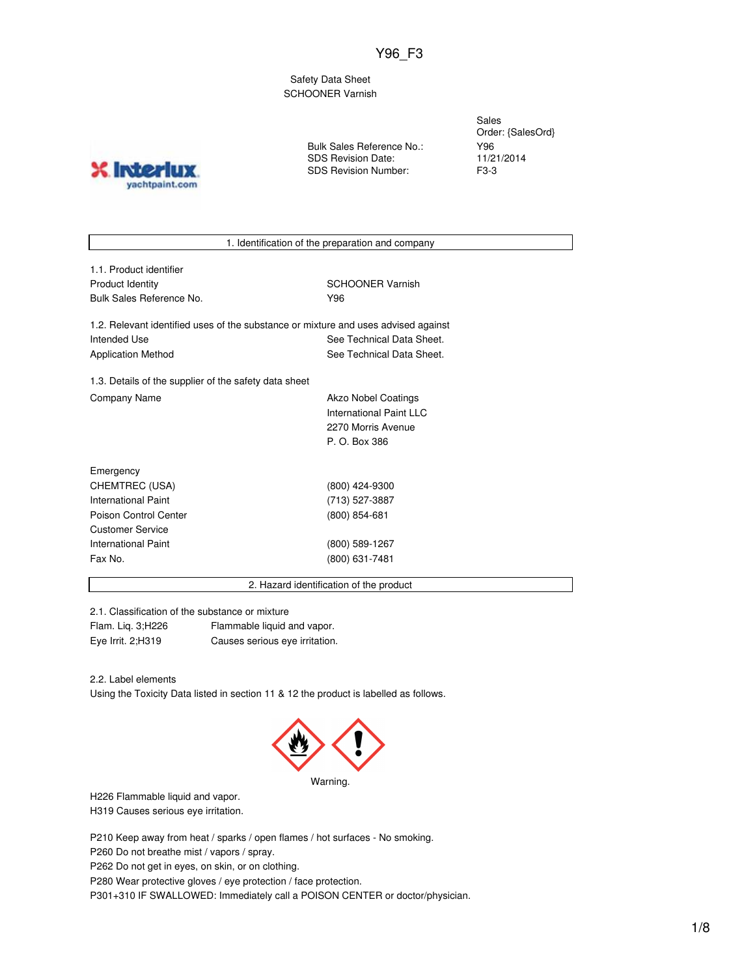Y96\_F3

Safety Data Sheet SCHOONER Varnish

**INTO** yachtpaint.com Bulk Sales Reference No.: SDS Revision Date: SDS Revision Number:

Sales Order: {SalesOrd} Y96 11/21/2014 F3-3

1. Identification of the preparation and company

1.1. Product identifier Product Identity **SCHOONER** Varnish Bulk Sales Reference No. **Y96** 

1.2. Relevant identified uses of the substance or mixture and uses advised against Intended Use **See Technical Data Sheet.** See Technical Data Sheet. Application Method See Technical Data Sheet.

1.3. Details of the supplier of the safety data sheet Company Name **Akzo Nobel Coatings** 

International Paint LLC 2270 Morris Avenue P. O. Box 386

| Emergency             |                   |
|-----------------------|-------------------|
| CHEMTREC (USA)        | (800) 424-9300    |
| International Paint   | (713) 527-3887    |
| Poison Control Center | $(800) 854 - 681$ |
| Customer Service      |                   |
| International Paint   | (800) 589-1267    |
| Fax No.               | (800) 631-7481    |
|                       |                   |

2. Hazard identification of the product

2.1. Classification of the substance or mixture Flam. Liq. 3;H226 Flammable liquid and vapor. Eye Irrit. 2;H319 Causes serious eye irritation.

2.2. Label elements

Using the Toxicity Data listed in section 11 & 12 the product is labelled as follows.



H226 Flammable liquid and vapor. H319 Causes serious eye irritation.

P210 Keep away from heat / sparks / open flames / hot surfaces - No smoking.

P260 Do not breathe mist / vapors / spray.

P262 Do not get in eyes, on skin, or on clothing.

P280 Wear protective gloves / eye protection / face protection.

P301+310 IF SWALLOWED: Immediately call a POISON CENTER or doctor/physician.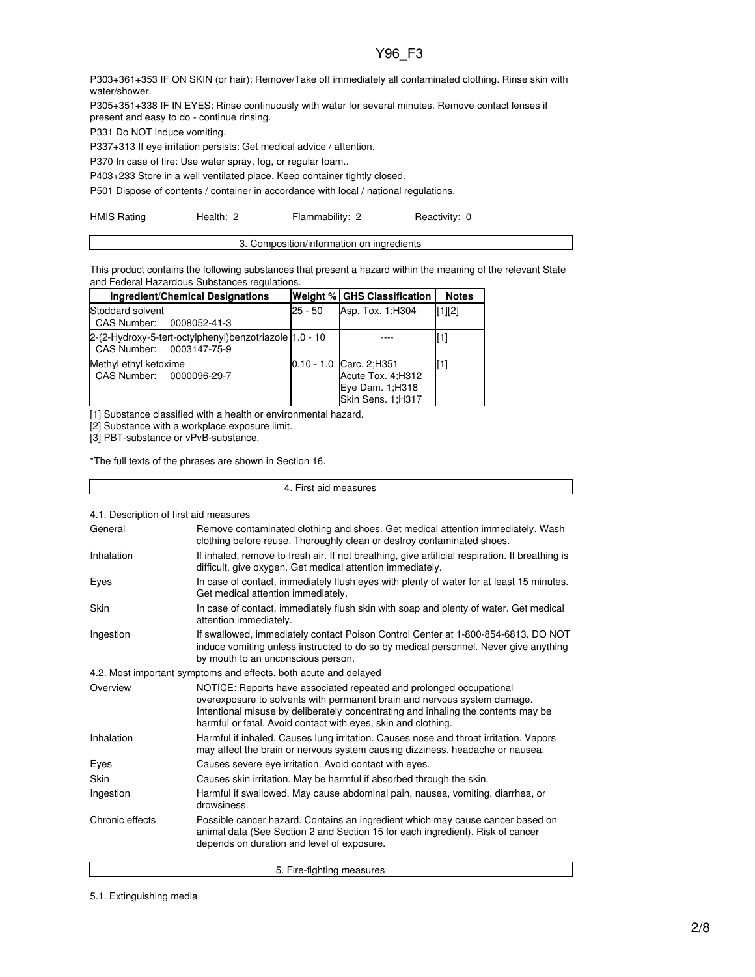# Y96\_F3

P303+361+353 IF ON SKIN (or hair): Remove/Take off immediately all contaminated clothing. Rinse skin with water/shower.

P305+351+338 IF IN EYES: Rinse continuously with water for several minutes. Remove contact lenses if present and easy to do - continue rinsing.

P331 Do NOT induce vomiting.

P337+313 If eye irritation persists: Get medical advice / attention.

P370 In case of fire: Use water spray, fog, or regular foam..

P403+233 Store in a well ventilated place. Keep container tightly closed.

P501 Dispose of contents / container in accordance with local / national regulations.

|  | <b>HMIS Rating</b> | Health: 2 | Flammability: 2 | Reactivity: 0 |
|--|--------------------|-----------|-----------------|---------------|
|--|--------------------|-----------|-----------------|---------------|

| 3. Composition/information on ingredients |  |
|-------------------------------------------|--|
|                                           |  |

This product contains the following substances that present a hazard within the meaning of the relevant State and Federal Hazardous Substances regulations.

| <b>Ingredient/Chemical Designations</b>                                            |         | Weight % GHS Classification                                                              | <b>Notes</b> |
|------------------------------------------------------------------------------------|---------|------------------------------------------------------------------------------------------|--------------|
| Stoddard solvent<br>CAS Number: 0008052-41-3                                       | 25 - 50 | Asp. Tox. 1; H304                                                                        | $[1]$ [2]    |
| 2-(2-Hydroxy-5-tert-octylphenyl)benzotriazole 1.0 - 10<br>CAS Number: 0003147-75-9 |         |                                                                                          |              |
| Methyl ethyl ketoxime<br>CAS Number: 0000096-29-7                                  |         | $0.10 - 1.0$ Carc. 2; H351<br>Acute Tox. 4; H312<br>Eye Dam. 1;H318<br>Skin Sens. 1;H317 | [1]          |

[1] Substance classified with a health or environmental hazard.

[2] Substance with a workplace exposure limit.

[3] PBT-substance or vPvB-substance.

\*The full texts of the phrases are shown in Section 16.

| 4. First aid measures                  |                                                                                                                                                                                                                                                                                                       |  |
|----------------------------------------|-------------------------------------------------------------------------------------------------------------------------------------------------------------------------------------------------------------------------------------------------------------------------------------------------------|--|
| 4.1. Description of first aid measures |                                                                                                                                                                                                                                                                                                       |  |
| General                                | Remove contaminated clothing and shoes. Get medical attention immediately. Wash<br>clothing before reuse. Thoroughly clean or destroy contaminated shoes.                                                                                                                                             |  |
| Inhalation                             | If inhaled, remove to fresh air. If not breathing, give artificial respiration. If breathing is<br>difficult, give oxygen. Get medical attention immediately.                                                                                                                                         |  |
| Eyes                                   | In case of contact, immediately flush eyes with plenty of water for at least 15 minutes.<br>Get medical attention immediately.                                                                                                                                                                        |  |
| Skin                                   | In case of contact, immediately flush skin with soap and plenty of water. Get medical<br>attention immediately.                                                                                                                                                                                       |  |
| Ingestion                              | If swallowed, immediately contact Poison Control Center at 1-800-854-6813. DO NOT<br>induce vomiting unless instructed to do so by medical personnel. Never give anything<br>by mouth to an unconscious person.                                                                                       |  |
|                                        | 4.2. Most important symptoms and effects, both acute and delayed                                                                                                                                                                                                                                      |  |
| Overview                               | NOTICE: Reports have associated repeated and prolonged occupational<br>overexposure to solvents with permanent brain and nervous system damage.<br>Intentional misuse by deliberately concentrating and inhaling the contents may be<br>harmful or fatal. Avoid contact with eyes, skin and clothing. |  |
| Inhalation                             | Harmful if inhaled. Causes lung irritation. Causes nose and throat irritation. Vapors<br>may affect the brain or nervous system causing dizziness, headache or nausea.                                                                                                                                |  |
| Eyes                                   | Causes severe eye irritation. Avoid contact with eyes.                                                                                                                                                                                                                                                |  |
| Skin                                   | Causes skin irritation. May be harmful if absorbed through the skin.                                                                                                                                                                                                                                  |  |
| Ingestion                              | Harmful if swallowed. May cause abdominal pain, nausea, vomiting, diarrhea, or<br>drowsiness.                                                                                                                                                                                                         |  |
| Chronic effects                        | Possible cancer hazard. Contains an ingredient which may cause cancer based on<br>animal data (See Section 2 and Section 15 for each ingredient). Risk of cancer<br>depends on duration and level of exposure.                                                                                        |  |
|                                        | 5. Fire-fighting measures                                                                                                                                                                                                                                                                             |  |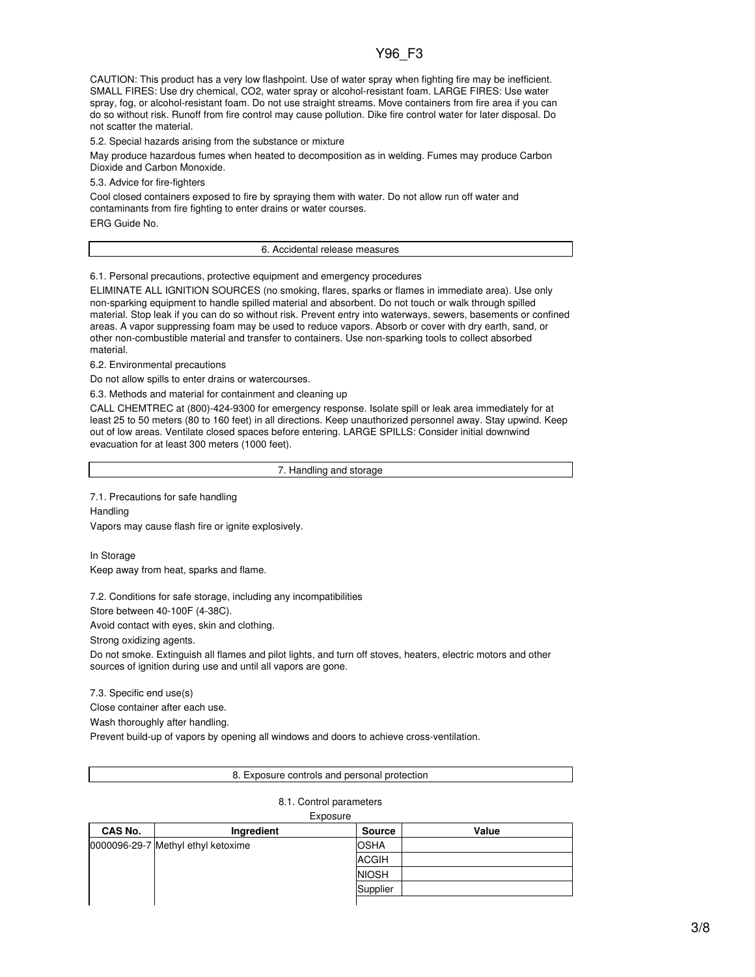# Y96\_F3

CAUTION: This product has a very low flashpoint. Use of water spray when fighting fire may be inefficient. SMALL FIRES: Use dry chemical, CO2, water spray or alcohol-resistant foam. LARGE FIRES: Use water spray, fog, or alcohol-resistant foam. Do not use straight streams. Move containers from fire area if you can do so without risk. Runoff from fire control may cause pollution. Dike fire control water for later disposal. Do not scatter the material.

5.2. Special hazards arising from the substance or mixture

May produce hazardous fumes when heated to decomposition as in welding. Fumes may produce Carbon Dioxide and Carbon Monoxide.

5.3. Advice for fire-fighters

Cool closed containers exposed to fire by spraying them with water. Do not allow run off water and contaminants from fire fighting to enter drains or water courses. ERG Guide No.

6. Accidental release measures

6.1. Personal precautions, protective equipment and emergency procedures

ELIMINATE ALL IGNITION SOURCES (no smoking, flares, sparks or flames in immediate area). Use only non-sparking equipment to handle spilled material and absorbent. Do not touch or walk through spilled material. Stop leak if you can do so without risk. Prevent entry into waterways, sewers, basements or confined areas. A vapor suppressing foam may be used to reduce vapors. Absorb or cover with dry earth, sand, or other non-combustible material and transfer to containers. Use non-sparking tools to collect absorbed material.

6.2. Environmental precautions

Do not allow spills to enter drains or watercourses.

6.3. Methods and material for containment and cleaning up

CALL CHEMTREC at (800)-424-9300 for emergency response. Isolate spill or leak area immediately for at least 25 to 50 meters (80 to 160 feet) in all directions. Keep unauthorized personnel away. Stay upwind. Keep out of low areas. Ventilate closed spaces before entering. LARGE SPILLS: Consider initial downwind evacuation for at least 300 meters (1000 feet).

7. Handling and storage

7.1. Precautions for safe handling **Handling** 

Vapors may cause flash fire or ignite explosively.

In Storage

Keep away from heat, sparks and flame.

7.2. Conditions for safe storage, including any incompatibilities

Store between 40-100F (4-38C).

Avoid contact with eyes, skin and clothing.

Strong oxidizing agents.

Do not smoke. Extinguish all flames and pilot lights, and turn off stoves, heaters, electric motors and other sources of ignition during use and until all vapors are gone.

7.3. Specific end use(s)

Close container after each use.

Wash thoroughly after handling.

Prevent build-up of vapors by opening all windows and doors to achieve cross-ventilation.

#### 8. Exposure controls and personal protection

### 8.1. Control parameters

#### Exposure

| CAS No. | Ingredient                         | <b>Source</b> | Value |
|---------|------------------------------------|---------------|-------|
|         | 0000096-29-7 Methyl ethyl ketoxime | <b>OSHA</b>   |       |
|         |                                    | <b>ACGIH</b>  |       |
|         |                                    | <b>NIOSH</b>  |       |
|         |                                    | Supplier      |       |
|         |                                    |               |       |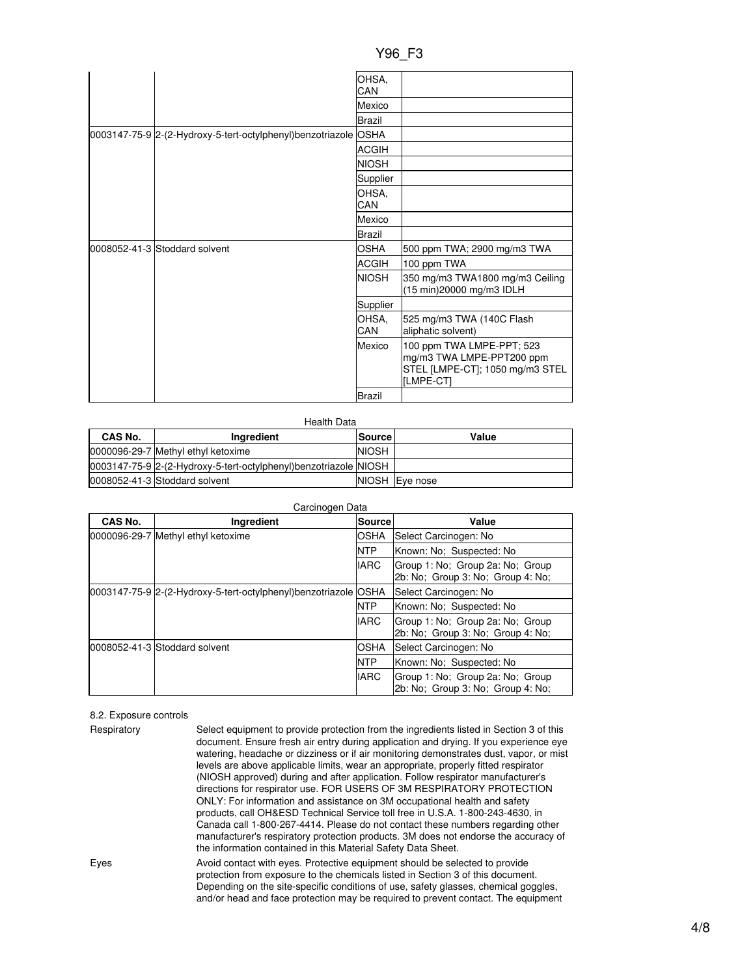|                                                                 | OHSA,         |                                                                                                        |
|-----------------------------------------------------------------|---------------|--------------------------------------------------------------------------------------------------------|
|                                                                 | CAN           |                                                                                                        |
|                                                                 | Mexico        |                                                                                                        |
|                                                                 | Brazil        |                                                                                                        |
| 0003147-75-9 2-(2-Hydroxy-5-tert-octylphenyl)benzotriazole OSHA |               |                                                                                                        |
|                                                                 | <b>ACGIH</b>  |                                                                                                        |
|                                                                 | <b>NIOSH</b>  |                                                                                                        |
|                                                                 | Supplier      |                                                                                                        |
|                                                                 | OHSA,         |                                                                                                        |
|                                                                 | CAN           |                                                                                                        |
|                                                                 | Mexico        |                                                                                                        |
|                                                                 | Brazil        |                                                                                                        |
| 0008052-41-3 Stoddard solvent                                   | <b>OSHA</b>   | 500 ppm TWA; 2900 mg/m3 TWA                                                                            |
|                                                                 | <b>ACGIH</b>  | 100 ppm TWA                                                                                            |
|                                                                 | <b>NIOSH</b>  | 350 mg/m3 TWA1800 mg/m3 Ceiling<br>(15 min)20000 mg/m3 IDLH                                            |
|                                                                 | Supplier      |                                                                                                        |
|                                                                 | OHSA,<br>CAN  | 525 mg/m3 TWA (140C Flash<br>aliphatic solvent)                                                        |
|                                                                 | Mexico        | 100 ppm TWA LMPE-PPT; 523<br>mg/m3 TWA LMPE-PPT200 ppm<br>STEL [LMPE-CT]; 1050 mg/m3 STEL<br>[LMPE-CT] |
|                                                                 | <b>Brazil</b> |                                                                                                        |

Health Data

| CAS No. | Ingredient                                                       | <b>Source</b> | Value    |
|---------|------------------------------------------------------------------|---------------|----------|
|         | 0000096-29-7 Methyl ethyl ketoxime                               | <b>NIOSH</b>  |          |
|         | 0003147-75-9 2-(2-Hydroxy-5-tert-octylphenyl)benzotriazole NIOSH |               |          |
|         | 0008052-41-3 Stoddard solvent                                    | <b>NIOSH</b>  | Eve nose |

| Carcinogen Data |                                                                 |               |                                                                       |
|-----------------|-----------------------------------------------------------------|---------------|-----------------------------------------------------------------------|
| CAS No.         | Ingredient                                                      | <b>Source</b> | Value                                                                 |
|                 | 0000096-29-7 Methyl ethyl ketoxime                              | <b>OSHA</b>   | Select Carcinogen: No                                                 |
|                 |                                                                 | <b>NTP</b>    | Known: No: Suspected: No                                              |
|                 |                                                                 | <b>IARC</b>   | Group 1: No: Group 2a: No: Group<br>2b: No: Group 3: No: Group 4: No: |
|                 | 0003147-75-9 2-(2-Hydroxy-5-tert-octylphenyl)benzotriazole OSHA |               | Select Carcinogen: No                                                 |
|                 |                                                                 | <b>NTP</b>    | Known: No: Suspected: No                                              |
|                 |                                                                 | <b>IARC</b>   | Group 1: No: Group 2a: No: Group<br>2b: No: Group 3: No: Group 4: No: |
|                 | 0008052-41-3 Stoddard solvent                                   | <b>IOSHA</b>  | Select Carcinogen: No                                                 |
|                 |                                                                 | <b>NTP</b>    | Known: No: Suspected: No                                              |
|                 |                                                                 | <b>IARC</b>   | Group 1: No; Group 2a: No; Group<br>2b: No: Group 3: No: Group 4: No: |

# 8.2. Exposure controls

| Respiratory | Select equipment to provide protection from the ingredients listed in Section 3 of this<br>document. Ensure fresh air entry during application and drying. If you experience eye<br>watering, headache or dizziness or if air monitoring demonstrates dust, vapor, or mist<br>levels are above applicable limits, wear an appropriate, properly fitted respirator<br>(NIOSH approved) during and after application. Follow respirator manufacturer's<br>directions for respirator use. FOR USERS OF 3M RESPIRATORY PROTECTION<br>ONLY: For information and assistance on 3M occupational health and safety<br>products, call OH&ESD Technical Service toll free in U.S.A. 1-800-243-4630, in<br>Canada call 1-800-267-4414. Please do not contact these numbers regarding other<br>manufacturer's respiratory protection products. 3M does not endorse the accuracy of<br>the information contained in this Material Safety Data Sheet. |
|-------------|-----------------------------------------------------------------------------------------------------------------------------------------------------------------------------------------------------------------------------------------------------------------------------------------------------------------------------------------------------------------------------------------------------------------------------------------------------------------------------------------------------------------------------------------------------------------------------------------------------------------------------------------------------------------------------------------------------------------------------------------------------------------------------------------------------------------------------------------------------------------------------------------------------------------------------------------|
| Eyes        | Avoid contact with eyes. Protective equipment should be selected to provide<br>protection from exposure to the chemicals listed in Section 3 of this document.<br>Depending on the site-specific conditions of use, safety glasses, chemical goggles,<br>and/or head and face protection may be required to prevent contact. The equipment                                                                                                                                                                                                                                                                                                                                                                                                                                                                                                                                                                                              |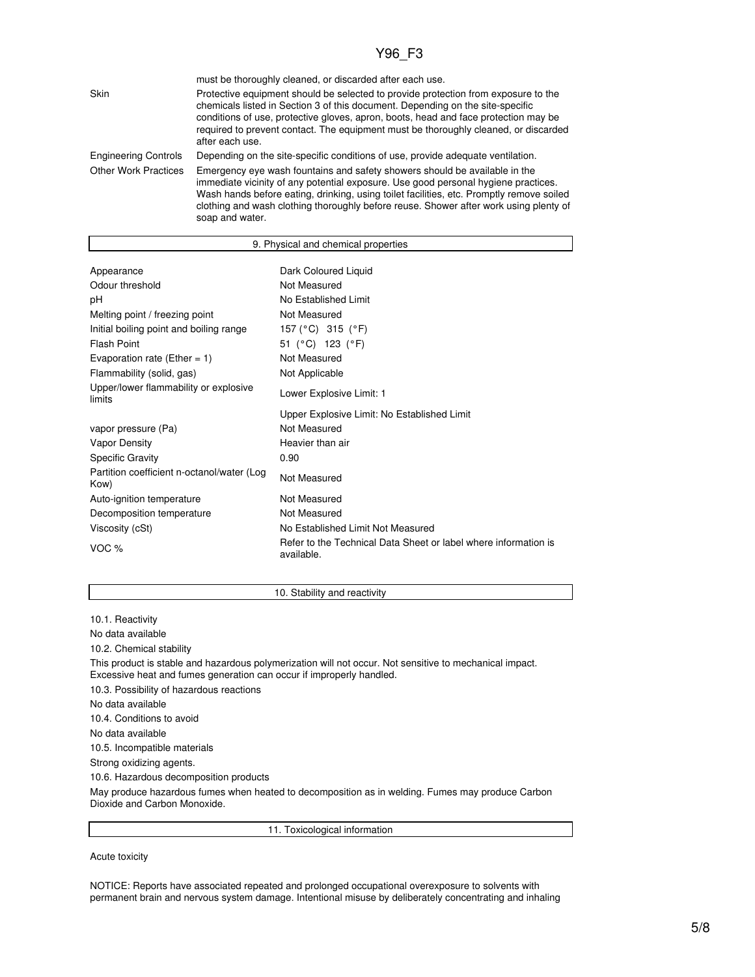|                             | must be thoroughly cleaned, or discarded after each use.                                                                                                                                                                                                                                                                                                                 |
|-----------------------------|--------------------------------------------------------------------------------------------------------------------------------------------------------------------------------------------------------------------------------------------------------------------------------------------------------------------------------------------------------------------------|
| Skin                        | Protective equipment should be selected to provide protection from exposure to the<br>chemicals listed in Section 3 of this document. Depending on the site-specific<br>conditions of use, protective gloves, apron, boots, head and face protection may be<br>required to prevent contact. The equipment must be thoroughly cleaned, or discarded<br>after each use.    |
| <b>Engineering Controls</b> | Depending on the site-specific conditions of use, provide adequate ventilation.                                                                                                                                                                                                                                                                                          |
| <b>Other Work Practices</b> | Emergency eye wash fountains and safety showers should be available in the<br>immediate vicinity of any potential exposure. Use good personal hygiene practices.<br>Wash hands before eating, drinking, using toilet facilities, etc. Promptly remove soiled<br>clothing and wash clothing thoroughly before reuse. Shower after work using plenty of<br>soap and water. |

| 9. Physical and chemical properties                |                                                                               |  |  |
|----------------------------------------------------|-------------------------------------------------------------------------------|--|--|
|                                                    |                                                                               |  |  |
| Appearance                                         | Dark Coloured Liquid                                                          |  |  |
| Odour threshold                                    | Not Measured                                                                  |  |  |
| рH                                                 | No Established Limit                                                          |  |  |
| Melting point / freezing point                     | Not Measured                                                                  |  |  |
| Initial boiling point and boiling range            | 157 (°C) 315 (°F)                                                             |  |  |
| <b>Flash Point</b>                                 | 51 (°C) 123 (°F)                                                              |  |  |
| Evaporation rate (Ether = 1)                       | Not Measured                                                                  |  |  |
| Flammability (solid, gas)                          | Not Applicable                                                                |  |  |
| Upper/lower flammability or explosive<br>limits    | Lower Explosive Limit: 1                                                      |  |  |
|                                                    | Upper Explosive Limit: No Established Limit                                   |  |  |
| vapor pressure (Pa)                                | Not Measured                                                                  |  |  |
| Vapor Density                                      | Heavier than air                                                              |  |  |
| <b>Specific Gravity</b>                            | 0.90                                                                          |  |  |
| Partition coefficient n-octanol/water (Log<br>Kow) | Not Measured                                                                  |  |  |
| Auto-ignition temperature                          | Not Measured                                                                  |  |  |
| Decomposition temperature                          | Not Measured                                                                  |  |  |
| Viscosity (cSt)                                    | No Established Limit Not Measured                                             |  |  |
| VOC %                                              | Refer to the Technical Data Sheet or label where information is<br>available. |  |  |

10. Stability and reactivity

10.1. Reactivity

No data available

10.2. Chemical stability

This product is stable and hazardous polymerization will not occur. Not sensitive to mechanical impact. Excessive heat and fumes generation can occur if improperly handled.

10.3. Possibility of hazardous reactions

No data available

10.4. Conditions to avoid

No data available

10.5. Incompatible materials

Strong oxidizing agents.

10.6. Hazardous decomposition products

May produce hazardous fumes when heated to decomposition as in welding. Fumes may produce Carbon Dioxide and Carbon Monoxide.

11. Toxicological information

Acute toxicity

NOTICE: Reports have associated repeated and prolonged occupational overexposure to solvents with permanent brain and nervous system damage. Intentional misuse by deliberately concentrating and inhaling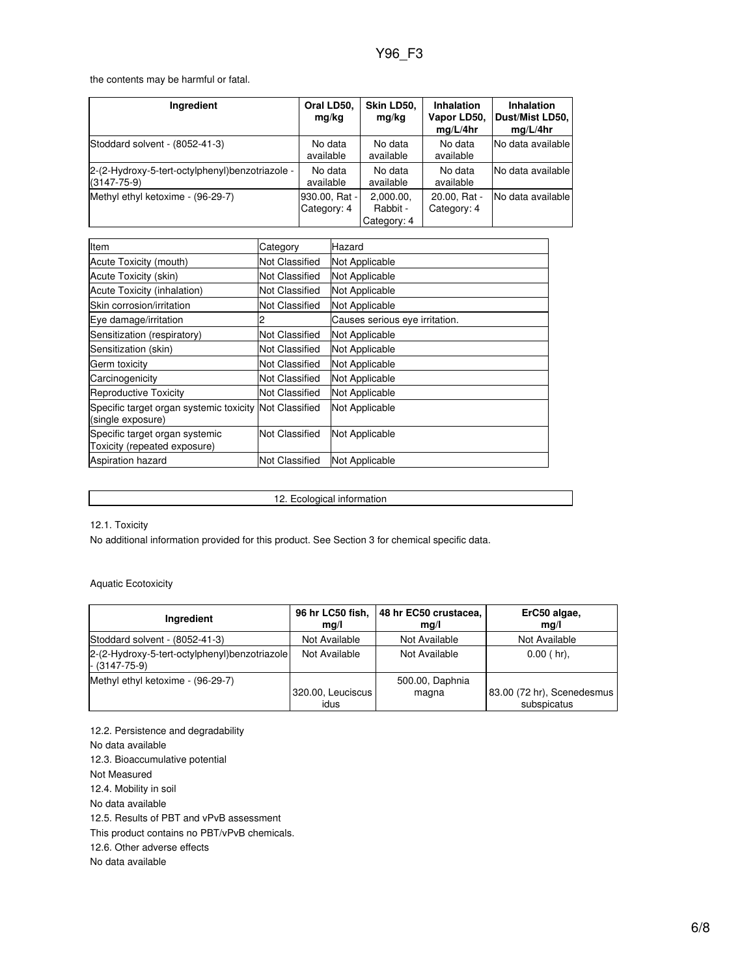the contents may be harmful or fatal.

| Ingredient                                                           | Oral LD50.<br>mg/kg          | Skin LD50,<br>mg/kg                  | Inhalation<br>Vapor LD50,<br>mq/L/4hr | <b>Inhalation</b><br>Dust/Mist LD50,<br>mq/L/4hr |
|----------------------------------------------------------------------|------------------------------|--------------------------------------|---------------------------------------|--------------------------------------------------|
| Stoddard solvent - (8052-41-3)                                       | No data<br>available         | No data<br>available                 | No data<br>available                  | No data available                                |
| 2-(2-Hydroxy-5-tert-octylphenyl)benzotriazole -<br>$(3147 - 75 - 9)$ | No data<br>available         | No data<br>available                 | No data<br>available                  | No data available                                |
| Methyl ethyl ketoxime - (96-29-7)                                    | 930.00, Rat -<br>Category: 4 | 2,000.00,<br>Rabbit -<br>Category: 4 | 20.00, Rat -<br>Category: 4           | INo data available l                             |

| Item                                                                        | Category              | Hazard                         |  |
|-----------------------------------------------------------------------------|-----------------------|--------------------------------|--|
| Acute Toxicity (mouth)                                                      | Not Classified        | Not Applicable                 |  |
| Acute Toxicity (skin)                                                       | <b>Not Classified</b> | Not Applicable                 |  |
| Acute Toxicity (inhalation)                                                 | Not Classified        | Not Applicable                 |  |
| Skin corrosion/irritation                                                   | Not Classified        | Not Applicable                 |  |
| Eye damage/irritation                                                       |                       | Causes serious eye irritation. |  |
| Sensitization (respiratory)                                                 | Not Classified        | Not Applicable                 |  |
| Sensitization (skin)                                                        | Not Classified        | Not Applicable                 |  |
| Germ toxicity                                                               | Not Classified        | Not Applicable                 |  |
| Carcinogenicity                                                             | Not Classified        | Not Applicable                 |  |
| Reproductive Toxicity                                                       | Not Classified        | Not Applicable                 |  |
| Specific target organ systemic toxicity Not Classified<br>(single exposure) |                       | Not Applicable                 |  |
| Specific target organ systemic<br>Toxicity (repeated exposure)              | Not Classified        | Not Applicable                 |  |
| <b>Aspiration hazard</b>                                                    | <b>Not Classified</b> | Not Applicable                 |  |

12. Ecological information

12.1. Toxicity

No additional information provided for this product. See Section 3 for chemical specific data.

Aquatic Ecotoxicity

| Ingredient                                                       | 96 hr LC50 fish,  | 48 hr EC50 crustacea, | ErC50 algae,               |
|------------------------------------------------------------------|-------------------|-----------------------|----------------------------|
|                                                                  | mq/l              | mg/l                  | mg/l                       |
| Stoddard solvent - (8052-41-3)                                   | Not Available     | Not Available         | Not Available              |
| 2-(2-Hydroxy-5-tert-octylphenyl)benzotriazole<br>$-$ (3147-75-9) | Not Available     | Not Available         | $0.00$ (hr),               |
| Methyl ethyl ketoxime - (96-29-7)                                | 320.00, Leuciscus | 500.00, Daphnia       | 83.00 (72 hr), Scenedesmus |
|                                                                  | idus              | magna                 | subspicatus                |

12.2. Persistence and degradability

No data available

12.3. Bioaccumulative potential

Not Measured

12.4. Mobility in soil

No data available

12.5. Results of PBT and vPvB assessment

This product contains no PBT/vPvB chemicals.

12.6. Other adverse effects

No data available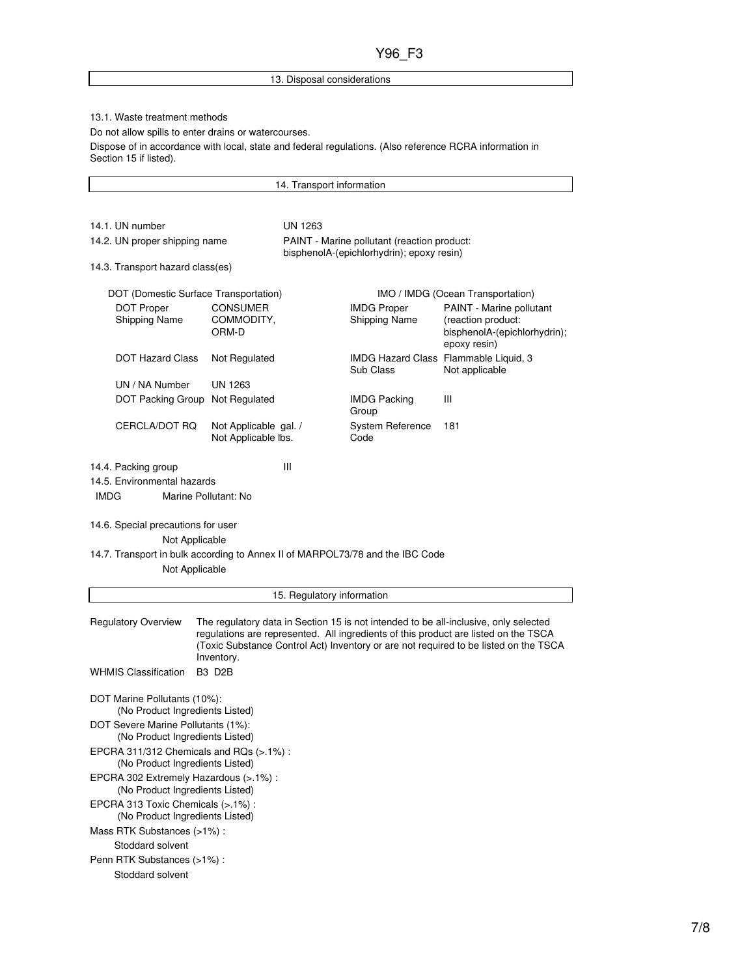## 13. Disposal considerations

### 13.1. Waste treatment methods

Do not allow spills to enter drains or watercourses.

Dispose of in accordance with local, state and federal regulations. (Also reference RCRA information in Section 15 if listed).

14. Transport information

| 14.1. UN number<br>14.2. UN proper shipping name                                                | <b>UN 1263</b><br>PAINT - Marine pollutant (reaction product: |                            |                                            |                                                                                                                                                                                                                                                                     |  |  |
|-------------------------------------------------------------------------------------------------|---------------------------------------------------------------|----------------------------|--------------------------------------------|---------------------------------------------------------------------------------------------------------------------------------------------------------------------------------------------------------------------------------------------------------------------|--|--|
|                                                                                                 | 14.3. Transport hazard class(es)                              |                            |                                            | bisphenolA-(epichlorhydrin); epoxy resin)                                                                                                                                                                                                                           |  |  |
| DOT (Domestic Surface Transportation)                                                           |                                                               |                            |                                            | IMO / IMDG (Ocean Transportation)                                                                                                                                                                                                                                   |  |  |
| <b>DOT Proper</b><br>Shipping Name                                                              | <b>CONSUMER</b><br>COMMODITY,<br>ORM-D                        |                            | <b>IMDG Proper</b><br><b>Shipping Name</b> | PAINT - Marine pollutant<br>(reaction product:<br>bisphenolA-(epichlorhydrin);<br>epoxy resin)                                                                                                                                                                      |  |  |
| <b>DOT Hazard Class</b>                                                                         | Not Regulated                                                 |                            | Sub Class                                  | IMDG Hazard Class Flammable Liquid, 3<br>Not applicable                                                                                                                                                                                                             |  |  |
| UN / NA Number                                                                                  | <b>UN 1263</b>                                                |                            |                                            |                                                                                                                                                                                                                                                                     |  |  |
| DOT Packing Group Not Regulated                                                                 |                                                               |                            | <b>IMDG Packing</b><br>Group               | Ш                                                                                                                                                                                                                                                                   |  |  |
| CERCLA/DOT RQ                                                                                   | Not Applicable gal. /<br>Not Applicable lbs.                  |                            | System Reference<br>Code                   | 181                                                                                                                                                                                                                                                                 |  |  |
| 14.4. Packing group                                                                             |                                                               | Ш                          |                                            |                                                                                                                                                                                                                                                                     |  |  |
| 14.5. Environmental hazards<br><b>IMDG</b>                                                      | Marine Pollutant: No                                          |                            |                                            |                                                                                                                                                                                                                                                                     |  |  |
| 14.6. Special precautions for user<br>Not Applicable                                            |                                                               |                            |                                            |                                                                                                                                                                                                                                                                     |  |  |
| 14.7. Transport in bulk according to Annex II of MARPOL73/78 and the IBC Code<br>Not Applicable |                                                               |                            |                                            |                                                                                                                                                                                                                                                                     |  |  |
|                                                                                                 |                                                               | 15. Regulatory information |                                            |                                                                                                                                                                                                                                                                     |  |  |
| Regulatory Overview                                                                             | Inventory.                                                    |                            |                                            | The regulatory data in Section 15 is not intended to be all-inclusive, only selected<br>regulations are represented. All ingredients of this product are listed on the TSCA<br>(Toxic Substance Control Act) Inventory or are not required to be listed on the TSCA |  |  |
| <b>WHMIS Classification</b>                                                                     | <b>B3 D2B</b>                                                 |                            |                                            |                                                                                                                                                                                                                                                                     |  |  |
| DOT Marine Pollutants (10%):<br>(No Product Ingredients Listed)                                 |                                                               |                            |                                            |                                                                                                                                                                                                                                                                     |  |  |
| DOT Severe Marine Pollutants (1%):<br>(No Product Ingredients Listed)                           |                                                               |                            |                                            |                                                                                                                                                                                                                                                                     |  |  |
| EPCRA 311/312 Chemicals and RQs (>.1%):<br>(No Product Ingredients Listed)                      |                                                               |                            |                                            |                                                                                                                                                                                                                                                                     |  |  |
| EPCRA 302 Extremely Hazardous (>.1%) :<br>(No Product Ingredients Listed)                       |                                                               |                            |                                            |                                                                                                                                                                                                                                                                     |  |  |
| EPCRA 313 Toxic Chemicals (>.1%) :<br>(No Product Ingredients Listed)                           |                                                               |                            |                                            |                                                                                                                                                                                                                                                                     |  |  |

Mass RTK Substances (>1%) :

Stoddard solvent

### Penn RTK Substances (>1%) : Stoddard solvent